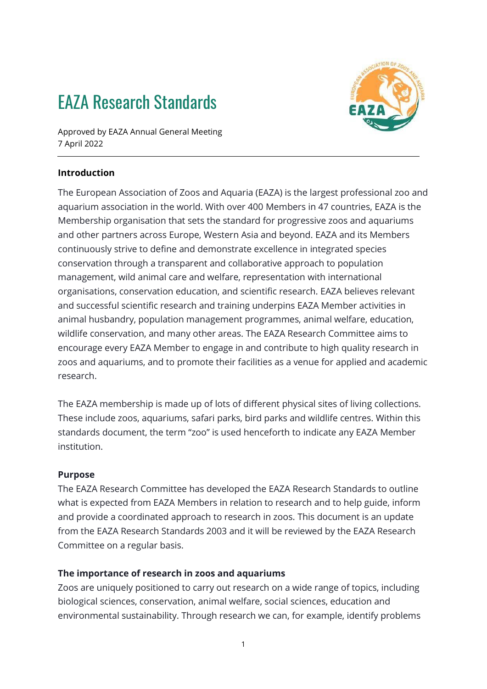# EAZA Research Standards



Approved by EAZA Annual General Meeting 7 April 2022

## **Introduction**

The European Association of Zoos and Aquaria (EAZA) is the largest professional zoo and aquarium association in the world. With over 400 Members in 47 countries, EAZA is the Membership organisation that sets the standard for progressive zoos and aquariums and other partners across Europe, Western Asia and beyond. EAZA and its Members continuously strive to define and demonstrate excellence in integrated species conservation through a transparent and collaborative approach to population management, wild animal care and welfare, representation with international organisations, conservation education, and scientific research. EAZA believes relevant and successful scientific research and training underpins EAZA Member activities in animal husbandry, population management programmes, animal welfare, education, wildlife conservation, and many other areas. The EAZA Research Committee aims to encourage every EAZA Member to engage in and contribute to high quality research in zoos and aquariums, and to promote their facilities as a venue for applied and academic research.

The EAZA membership is made up of lots of different physical sites of living collections. These include zoos, aquariums, safari parks, bird parks and wildlife centres. Within this standards document, the term "zoo" is used henceforth to indicate any EAZA Member institution.

#### **Purpose**

The EAZA Research Committee has developed the EAZA Research Standards to outline what is expected from EAZA Members in relation to research and to help guide, inform and provide a coordinated approach to research in zoos. This document is an update from the EAZA Research Standards 2003 and it will be reviewed by the EAZA Research Committee on a regular basis.

## **The importance of research in zoos and aquariums**

Zoos are uniquely positioned to carry out research on a wide range of topics, including biological sciences, conservation, animal welfare, social sciences, education and environmental sustainability. Through research we can, for example, identify problems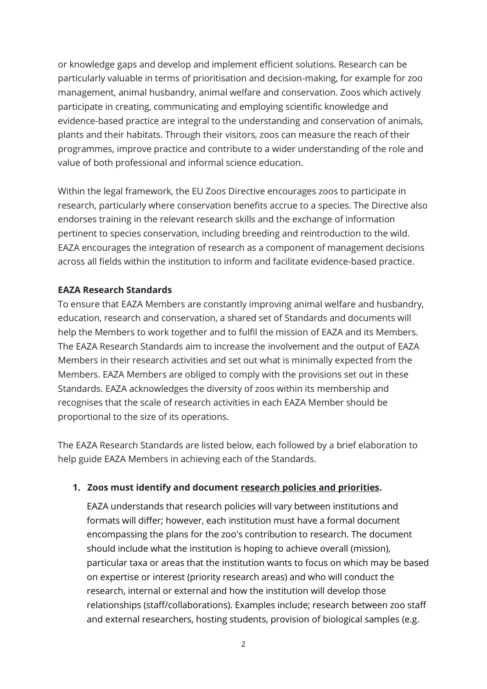or knowledge gaps and develop and implement efficient solutions. Research can be particularly valuable in terms of prioritisation and decision-making, for example for zoo management, animal husbandry, animal welfare and conservation. Zoos which actively participate in creating, communicating and employing scientific knowledge and evidence-based practice are integral to the understanding and conservation of animals, plants and their habitats. Through their visitors, zoos can measure the reach of their programmes, improve practice and contribute to a wider understanding of the role and value of both professional and informal science education.

Within the legal framework, the EU Zoos Directive encourages zoos to participate in research, particularly where conservation benefits accrue to a species. The Directive also endorses training in the relevant research skills and the exchange of information pertinent to species conservation, including breeding and reintroduction to the wild. EAZA encourages the integration of research as a component of management decisions across all fields within the institution to inform and facilitate evidence-based practice.

## **EAZA Research Standards**

To ensure that EAZA Members are constantly improving animal welfare and husbandry, education, research and conservation, a shared set of Standards and documents will help the Members to work together and to fulfil the mission of EAZA and its Members. The EAZA Research Standards aim to increase the involvement and the output of EAZA Members in their research activities and set out what is minimally expected from the Members. EAZA Members are obliged to comply with the provisions set out in these Standards. EAZA acknowledges the diversity of zoos within its membership and recognises that the scale of research activities in each EAZA Member should be proportional to the size of its operations.

The EAZA Research Standards are listed below, each followed by a brief elaboration to help guide EAZA Members in achieving each of the Standards.

#### **1. Zoos must identify and document research policies and priorities.**

EAZA understands that research policies will vary between institutions and formats will differ; however, each institution must have a formal document encompassing the plans for the zoo's contribution to research. The document should include what the institution is hoping to achieve overall (mission), particular taxa or areas that the institution wants to focus on which may be based on expertise or interest (priority research areas) and who will conduct the research, internal or external and how the institution will develop those relationships (staff/collaborations). Examples include; research between zoo staff and external researchers, hosting students, provision of biological samples (e.g.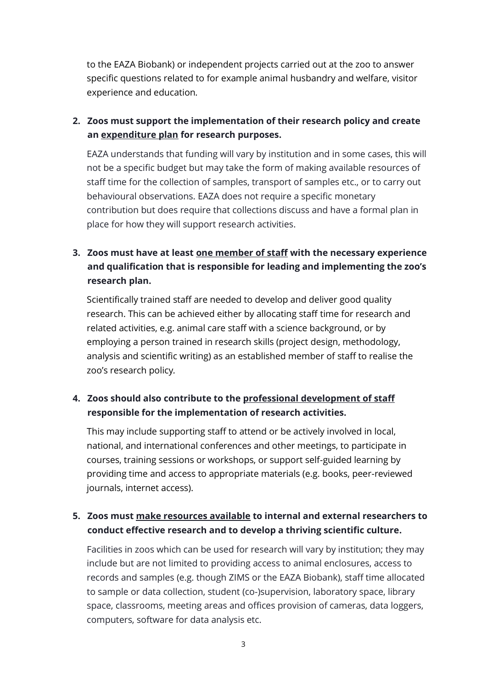to the EAZA Biobank) or independent projects carried out at the zoo to answer specific questions related to for example animal husbandry and welfare, visitor experience and education*.* 

# **2. Zoos must support the implementation of their research policy and create an expenditure plan for research purposes.**

EAZA understands that funding will vary by institution and in some cases, this will not be a specific budget but may take the form of making available resources of staff time for the collection of samples, transport of samples etc., or to carry out behavioural observations. EAZA does not require a specific monetary contribution but does require that collections discuss and have a formal plan in place for how they will support research activities.

# **3. Zoos must have at least one member of staff with the necessary experience and qualification that is responsible for leading and implementing the zoo's research plan.**

Scientifically trained staff are needed to develop and deliver good quality research. This can be achieved either by allocating staff time for research and related activities, e.g. animal care staff with a science background, or by employing a person trained in research skills (project design, methodology, analysis and scientific writing) as an established member of staff to realise the zoo's research policy*.* 

## **4. Zoos should also contribute to the professional development of staff responsible for the implementation of research activities.**

This may include supporting staff to attend or be actively involved in local, national, and international conferences and other meetings, to participate in courses, training sessions or workshops, or support self-guided learning by providing time and access to appropriate materials (e.g. books, peer-reviewed journals, internet access).

# **5. Zoos must make resources available to internal and external researchers to conduct effective research and to develop a thriving scientific culture.**

Facilities in zoos which can be used for research will vary by institution; they may include but are not limited to providing access to animal enclosures, access to records and samples (e.g. though ZIMS or the EAZA Biobank), staff time allocated to sample or data collection, student (co-)supervision, laboratory space, library space, classrooms, meeting areas and offices provision of cameras, data loggers, computers, software for data analysis etc.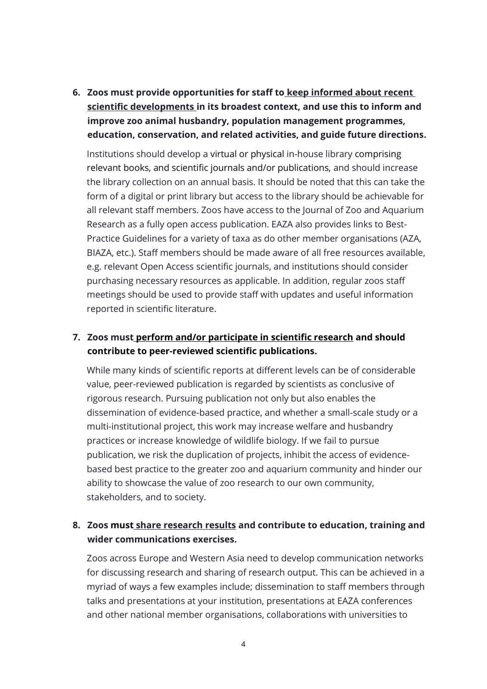**6. Zoos must provide opportunities for staff to keep informed about recent scientific developments in its broadest context, and use this to inform and improve zoo animal husbandry, population management programmes, education, conservation, and related activities, and guide future directions.**

Institutions should develop a virtual or physical in-house library comprising relevant books, and scientific journals and/or publications, and should increase the library collection on an annual basis. It should be noted that this can take the form of a digital or print library but access to the library should be achievable for all relevant staff members. Zoos have access to the Journal of Zoo and Aquarium Research as a fully open access publication. EAZA also provides links to Best-Practice Guidelines for a variety of taxa as do other member organisations (AZA, BIAZA, etc.). Staff members should be made aware of all free resources available, e.g. relevant Open Access scientific journals, and institutions should consider purchasing necessary resources as applicable. In addition, regular zoos staff meetings should be used to provide staff with updates and useful information reported in scientific literature.

## **7. Zoos must perform and/or participate in scientific research and should contribute to peer-reviewed scientific publications.**

While many kinds of scientific reports at different levels can be of considerable value, peer-reviewed publication is regarded by scientists as conclusive of rigorous research. Pursuing publication not only but also enables the dissemination of evidence-based practice, and whether a small-scale study or a multi-institutional project, this work may increase welfare and husbandry practices or increase knowledge of wildlife biology. If we fail to pursue publication, we risk the duplication of projects, inhibit the access of evidencebased best practice to the greater zoo and aquarium community and hinder our ability to showcase the value of zoo research to our own community, stakeholders, and to society.

## **8. Zoos must share research results and contribute to education, training and wider communications exercises.**

Zoos across Europe and Western Asia need to develop communication networks for discussing research and sharing of research output. This can be achieved in a myriad of ways a few examples include; dissemination to staff members through talks and presentations at your institution, presentations at EAZA conferences and other national member organisations, collaborations with universities to